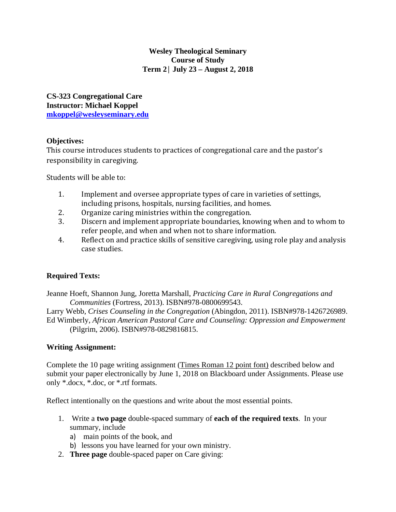# **Wesley Theological Seminary Course of Study Term 2│ July 23 – August 2, 2018**

**CS-323 Congregational Care Instructor: Michael Koppel mkoppel@wesleyseminary.edu** 

# **Objectives:**

This course introduces students to practices of congregational care and the pastor's responsibility in caregiving.

Students will be able to:

- 1. Implement and oversee appropriate types of care in varieties of settings, including prisons, hospitals, nursing facilities, and homes.
- 2. Organize caring ministries within the congregation.
- 3. Discern and implement appropriate boundaries, knowing when and to whom to refer people, and when and when not to share information.
- 4. Reflect on and practice skills of sensitive caregiving, using role play and analysis case studies.

# **Required Texts:**

Jeanne Hoeft, Shannon Jung, Joretta Marshall, *Practicing Care in Rural Congregations and Communities* (Fortress, 2013). ISBN#978-0800699543.

Larry Webb, *Crises Counseling in the Congregation* (Abingdon, 2011). ISBN#978-1426726989. Ed Wimberly, *African American Pastoral Care and Counseling: Oppression and Empowerment* (Pilgrim, 2006). ISBN#978-0829816815.

# **Writing Assignment:**

Complete the 10 page writing assignment (Times Roman 12 point font) described below and submit your paper electronically by June 1, 2018 on Blackboard under Assignments. Please use only \*.docx, \*.doc, or \*.rtf formats.

Reflect intentionally on the questions and write about the most essential points.

- 1. Write a **two page** double-spaced summary of **each of the required texts**. In your summary, include
	- a) main points of the book, and
	- b) lessons you have learned for your own ministry.
- 2. **Three page** double-spaced paper on Care giving: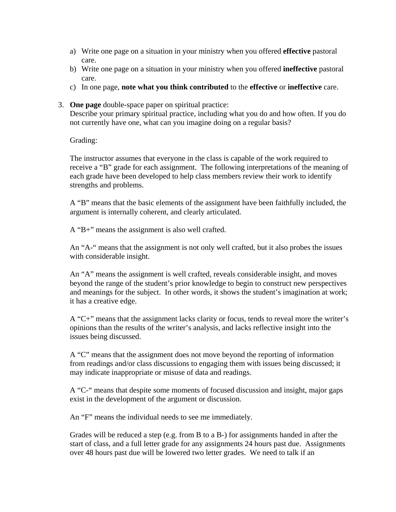- a) Write one page on a situation in your ministry when you offered **effective** pastoral care.
- b) Write one page on a situation in your ministry when you offered **ineffective** pastoral care.
- c) In one page, **note what you think contributed** to the **effective** or **ineffective** care.
- 3. **One page** double-space paper on spiritual practice:

Describe your primary spiritual practice, including what you do and how often. If you do not currently have one, what can you imagine doing on a regular basis?

Grading:

The instructor assumes that everyone in the class is capable of the work required to receive a "B" grade for each assignment. The following interpretations of the meaning of each grade have been developed to help class members review their work to identify strengths and problems.

A "B" means that the basic elements of the assignment have been faithfully included, the argument is internally coherent, and clearly articulated.

A "B+" means the assignment is also well crafted.

An "A-" means that the assignment is not only well crafted, but it also probes the issues with considerable insight.

An "A" means the assignment is well crafted, reveals considerable insight, and moves beyond the range of the student's prior knowledge to begin to construct new perspectives and meanings for the subject. In other words, it shows the student's imagination at work; it has a creative edge.

A "C+" means that the assignment lacks clarity or focus, tends to reveal more the writer's opinions than the results of the writer's analysis, and lacks reflective insight into the issues being discussed.

A "C" means that the assignment does not move beyond the reporting of information from readings and/or class discussions to engaging them with issues being discussed; it may indicate inappropriate or misuse of data and readings.

A "C-" means that despite some moments of focused discussion and insight, major gaps exist in the development of the argument or discussion.

An "F" means the individual needs to see me immediately.

Grades will be reduced a step (e.g. from B to a B-) for assignments handed in after the start of class, and a full letter grade for any assignments 24 hours past due. Assignments over 48 hours past due will be lowered two letter grades. We need to talk if an